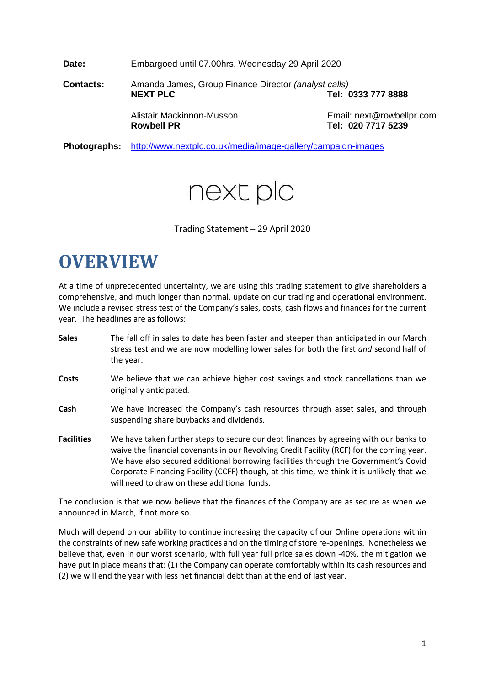**Date:** Embargoed until 07.00hrs, Wednesday 29 April 2020

**Contacts:** Amanda James, Group Finance Director *(analyst calls)* **NEXT PLC Tel: 0333 777 8888** Alistair Mackinnon-Musson **Email:** next@rowbellpr.com **Rowbell PR Tel: 020 7717 5239**

**Photographs:** <http://www.nextplc.co.uk/media/image-gallery/campaign-images>



Trading Statement – 29 April 2020

# **OVERVIEW**

At a time of unprecedented uncertainty, we are using this trading statement to give shareholders a comprehensive, and much longer than normal, update on our trading and operational environment. We include a revised stress test of the Company's sales, costs, cash flows and finances for the current year. The headlines are as follows:

| <b>Sales</b>      | The fall off in sales to date has been faster and steeper than anticipated in our March<br>stress test and we are now modelling lower sales for both the first and second half of<br>the year.                                                                                                                                                                                                                         |
|-------------------|------------------------------------------------------------------------------------------------------------------------------------------------------------------------------------------------------------------------------------------------------------------------------------------------------------------------------------------------------------------------------------------------------------------------|
| Costs             | We believe that we can achieve higher cost savings and stock cancellations than we<br>originally anticipated.                                                                                                                                                                                                                                                                                                          |
| Cash              | We have increased the Company's cash resources through asset sales, and through<br>suspending share buybacks and dividends.                                                                                                                                                                                                                                                                                            |
| <b>Facilities</b> | We have taken further steps to secure our debt finances by agreeing with our banks to<br>waive the financial covenants in our Revolving Credit Facility (RCF) for the coming year.<br>We have also secured additional borrowing facilities through the Government's Covid<br>Corporate Financing Facility (CCFF) though, at this time, we think it is unlikely that we<br>will need to draw on these additional funds. |

The conclusion is that we now believe that the finances of the Company are as secure as when we announced in March, if not more so.

Much will depend on our ability to continue increasing the capacity of our Online operations within the constraints of new safe working practices and on the timing of store re-openings. Nonetheless we believe that, even in our worst scenario, with full year full price sales down -40%, the mitigation we have put in place means that: (1) the Company can operate comfortably within its cash resources and (2) we will end the year with less net financial debt than at the end of last year.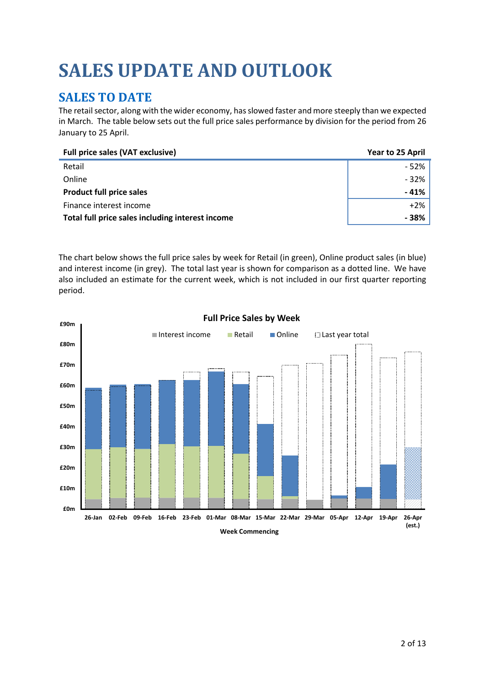# **SALES UPDATE AND OUTLOOK**

# **SALES TO DATE**

The retail sector, along with the wider economy, has slowed faster and more steeply than we expected in March. The table below sets out the full price sales performance by division for the period from 26 January to 25 April.

| <b>Full price sales (VAT exclusive)</b>          | Year to 25 April |
|--------------------------------------------------|------------------|
| Retail                                           | $-52%$           |
| Online                                           | $-32%$           |
| <b>Product full price sales</b>                  | $-41%$           |
| Finance interest income                          | $+2\%$           |
| Total full price sales including interest income | - 38%            |

The chart below shows the full price sales by week for Retail (in green), Online product sales (in blue) and interest income (in grey). The total last year is shown for comparison as a dotted line. We have also included an estimate for the current week, which is not included in our first quarter reporting period.

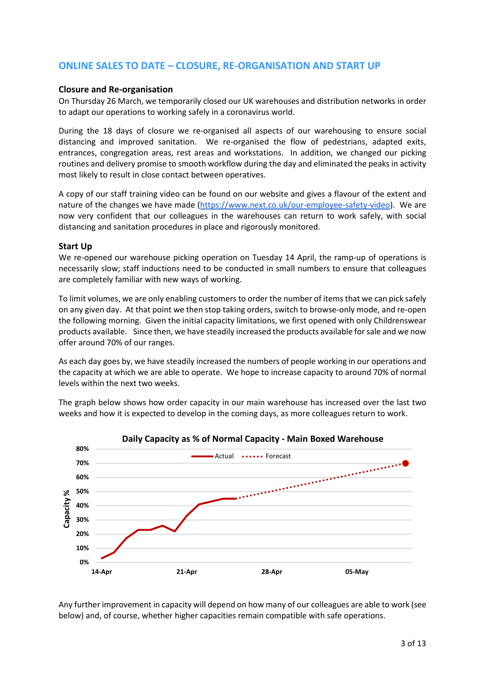## **ONLINE SALES TO DATE – CLOSURE, RE-ORGANISATION AND START UP**

#### **Closure and Re-organisation**

On Thursday 26 March, we temporarily closed our UK warehouses and distribution networks in order to adapt our operations to working safely in a coronavirus world.

During the 18 days of closure we re-organised all aspects of our warehousing to ensure social distancing and improved sanitation. We re-organised the flow of pedestrians, adapted exits, entrances, congregation areas, rest areas and workstations. In addition, we changed our picking routines and delivery promise to smooth workflow during the day and eliminated the peaks in activity most likely to result in close contact between operatives.

A copy of our staff training video can be found on our website and gives a flavour of the extent and nature of the changes we have made [\(https://www.next.co.uk/our-employee-safety-video\)](https://www.next.co.uk/our-employee-safety-video). We are now very confident that our colleagues in the warehouses can return to work safely, with social distancing and sanitation procedures in place and rigorously monitored.

#### **Start Up**

We re-opened our warehouse picking operation on Tuesday 14 April, the ramp-up of operations is necessarily slow; staff inductions need to be conducted in small numbers to ensure that colleagues are completely familiar with new ways of working.

To limit volumes, we are only enabling customers to order the number of items that we can pick safely on any given day. At that point we then stop taking orders, switch to browse-only mode, and re-open the following morning. Given the initial capacity limitations, we first opened with only Childrenswear products available. Since then, we have steadily increased the products available for sale and we now offer around 70% of our ranges.

As each day goes by, we have steadily increased the numbers of people working in our operations and the capacity at which we are able to operate. We hope to increase capacity to around 70% of normal levels within the next two weeks.

The graph below shows how order capacity in our main warehouse has increased over the last two weeks and how it is expected to develop in the coming days, as more colleagues return to work.



Any further improvement in capacity will depend on how many of our colleagues are able to work (see below) and, of course, whether higher capacities remain compatible with safe operations.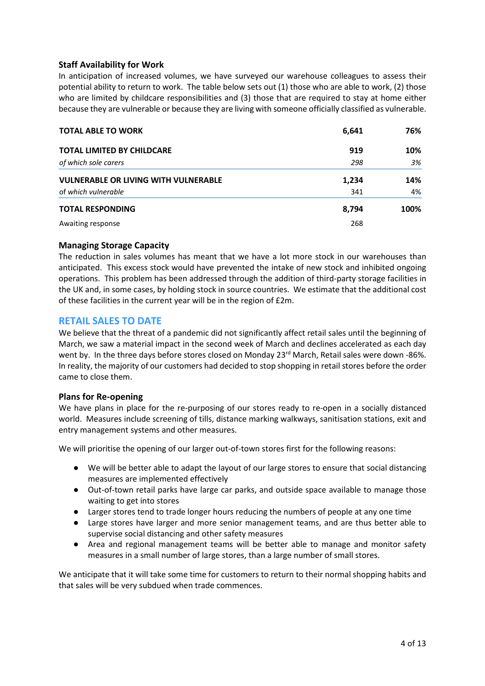### **Staff Availability for Work**

In anticipation of increased volumes, we have surveyed our warehouse colleagues to assess their potential ability to return to work. The table below sets out (1) those who are able to work, (2) those who are limited by childcare responsibilities and (3) those that are required to stay at home either because they are vulnerable or because they are living with someone officially classified as vulnerable.

| <b>TOTAL ABLE TO WORK</b>                   | 6,641 | 76%  |
|---------------------------------------------|-------|------|
| <b>TOTAL LIMITED BY CHILDCARE</b>           | 919   | 10%  |
| of which sole carers                        | 298   | 3%   |
| <b>VULNERABLE OR LIVING WITH VULNERABLE</b> | 1,234 | 14%  |
| of which vulnerable                         | 341   | 4%   |
| <b>TOTAL RESPONDING</b>                     | 8.794 | 100% |
| Awaiting response                           | 268   |      |

#### **Managing Storage Capacity**

The reduction in sales volumes has meant that we have a lot more stock in our warehouses than anticipated. This excess stock would have prevented the intake of new stock and inhibited ongoing operations. This problem has been addressed through the addition of third-party storage facilities in the UK and, in some cases, by holding stock in source countries. We estimate that the additional cost of these facilities in the current year will be in the region of £2m.

### **RETAIL SALES TO DATE**

We believe that the threat of a pandemic did not significantly affect retail sales until the beginning of March, we saw a material impact in the second week of March and declines accelerated as each day went by. In the three days before stores closed on Monday 23<sup>rd</sup> March, Retail sales were down -86%. In reality, the majority of our customers had decided to stop shopping in retail stores before the order came to close them.

#### **Plans for Re-opening**

We have plans in place for the re-purposing of our stores ready to re-open in a socially distanced world. Measures include screening of tills, distance marking walkways, sanitisation stations, exit and entry management systems and other measures.

We will prioritise the opening of our larger out-of-town stores first for the following reasons:

- We will be better able to adapt the layout of our large stores to ensure that social distancing measures are implemented effectively
- Out-of-town retail parks have large car parks, and outside space available to manage those waiting to get into stores
- Larger stores tend to trade longer hours reducing the numbers of people at any one time
- Large stores have larger and more senior management teams, and are thus better able to supervise social distancing and other safety measures
- Area and regional management teams will be better able to manage and monitor safety measures in a small number of large stores, than a large number of small stores.

We anticipate that it will take some time for customers to return to their normal shopping habits and that sales will be very subdued when trade commences.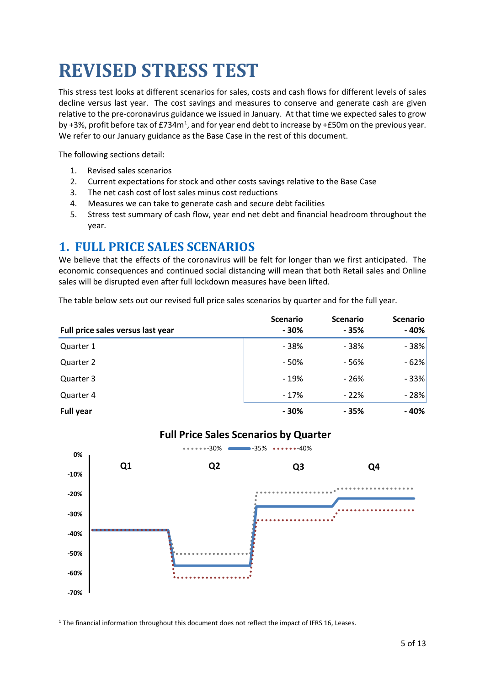# **REVISED STRESS TEST**

This stress test looks at different scenarios for sales, costs and cash flows for different levels of sales decline versus last year. The cost savings and measures to conserve and generate cash are given relative to the pre-coronavirus guidance we issued in January. At that time we expected sales to grow by +3%, profit before tax of £734 $m<sup>1</sup>$  $m<sup>1</sup>$  $m<sup>1</sup>$ , and for year end debt to increase by +£50m on the previous year. We refer to our January guidance as the Base Case in the rest of this document.

The following sections detail:

- 1. Revised sales scenarios
- 2. Current expectations for stock and other costs savings relative to the Base Case
- 3. The net cash cost of lost sales minus cost reductions
- 4. Measures we can take to generate cash and secure debt facilities
- 5. Stress test summary of cash flow, year end net debt and financial headroom throughout the year.

# **1. FULL PRICE SALES SCENARIOS**

We believe that the effects of the coronavirus will be felt for longer than we first anticipated. The economic consequences and continued social distancing will mean that both Retail sales and Online sales will be disrupted even after full lockdown measures have been lifted.

The table below sets out our revised full price sales scenarios by quarter and for the full year.

| Full price sales versus last year | <b>Scenario</b><br>$-30%$ | <b>Scenario</b><br>- 35% | <b>Scenario</b><br>$-40%$ |
|-----------------------------------|---------------------------|--------------------------|---------------------------|
| Quarter 1                         | - 38%                     | - 38%                    | $-38%$                    |
| Quarter 2                         | - 50%                     | $-56%$                   | $-62%$                    |
| Quarter 3                         | $-19%$                    | - 26%                    | $-33%$                    |
| Quarter 4                         | $-17%$                    | $-22%$                   | $-28%$                    |
| <b>Full year</b>                  | - 30%                     | - 35%                    | $-40%$                    |



## **Full Price Sales Scenarios by Quarter**

<span id="page-4-0"></span><sup>1</sup> The financial information throughout this document does not reflect the impact of IFRS 16, Leases.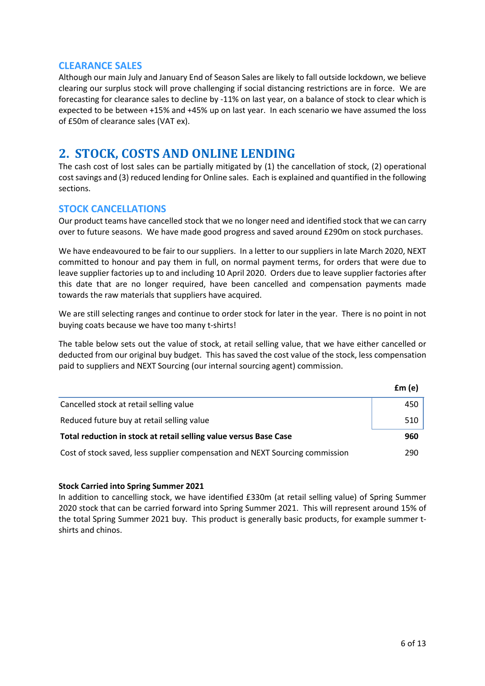### **CLEARANCE SALES**

Although our main July and January End of Season Sales are likely to fall outside lockdown, we believe clearing our surplus stock will prove challenging if social distancing restrictions are in force. We are forecasting for clearance sales to decline by -11% on last year, on a balance of stock to clear which is expected to be between +15% and +45% up on last year. In each scenario we have assumed the loss of £50m of clearance sales (VAT ex).

## **2. STOCK, COSTS AND ONLINE LENDING**

The cash cost of lost sales can be partially mitigated by (1) the cancellation of stock, (2) operational cost savings and (3) reduced lending for Online sales. Each is explained and quantified in the following sections.

### **STOCK CANCELLATIONS**

Our product teams have cancelled stock that we no longer need and identified stock that we can carry over to future seasons. We have made good progress and saved around £290m on stock purchases.

We have endeavoured to be fair to our suppliers. In a letter to our suppliers in late March 2020, NEXT committed to honour and pay them in full, on normal payment terms, for orders that were due to leave supplier factories up to and including 10 April 2020. Orders due to leave supplier factories after this date that are no longer required, have been cancelled and compensation payments made towards the raw materials that suppliers have acquired.

We are still selecting ranges and continue to order stock for later in the year. There is no point in not buying coats because we have too many t-shirts!

The table below sets out the value of stock, at retail selling value, that we have either cancelled or deducted from our original buy budget. This has saved the cost value of the stock, less compensation paid to suppliers and NEXT Sourcing (our internal sourcing agent) commission.

|                                                                              | fm(e) |
|------------------------------------------------------------------------------|-------|
| Cancelled stock at retail selling value                                      | 450   |
| Reduced future buy at retail selling value                                   | 510   |
| Total reduction in stock at retail selling value versus Base Case            | 960   |
| Cost of stock saved, less supplier compensation and NEXT Sourcing commission | 290   |

#### **Stock Carried into Spring Summer 2021**

In addition to cancelling stock, we have identified £330m (at retail selling value) of Spring Summer 2020 stock that can be carried forward into Spring Summer 2021. This will represent around 15% of the total Spring Summer 2021 buy. This product is generally basic products, for example summer tshirts and chinos.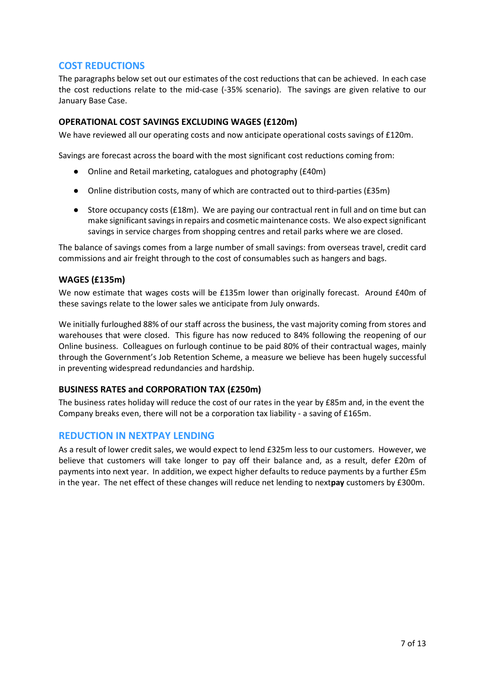## **COST REDUCTIONS**

The paragraphs below set out our estimates of the cost reductions that can be achieved. In each case the cost reductions relate to the mid-case (-35% scenario). The savings are given relative to our January Base Case.

#### **OPERATIONAL COST SAVINGS EXCLUDING WAGES (£120m)**

We have reviewed all our operating costs and now anticipate operational costs savings of £120m.

Savings are forecast across the board with the most significant cost reductions coming from:

- Online and Retail marketing, catalogues and photography (£40m)
- Online distribution costs, many of which are contracted out to third-parties (£35m)
- Store occupancy costs (£18m). We are paying our contractual rent in full and on time but can make significant savings in repairs and cosmetic maintenance costs. We also expect significant savings in service charges from shopping centres and retail parks where we are closed.

The balance of savings comes from a large number of small savings: from overseas travel, credit card commissions and air freight through to the cost of consumables such as hangers and bags.

#### **WAGES (£135m)**

We now estimate that wages costs will be £135m lower than originally forecast. Around £40m of these savings relate to the lower sales we anticipate from July onwards.

We initially furloughed 88% of our staff across the business, the vast majority coming from stores and warehouses that were closed. This figure has now reduced to 84% following the reopening of our Online business. Colleagues on furlough continue to be paid 80% of their contractual wages, mainly through the Government's Job Retention Scheme, a measure we believe has been hugely successful in preventing widespread redundancies and hardship.

### **BUSINESS RATES and CORPORATION TAX (£250m)**

The business rates holiday will reduce the cost of our rates in the year by £85m and, in the event the Company breaks even, there will not be a corporation tax liability - a saving of £165m.

### **REDUCTION IN NEXTPAY LENDING**

As a result of lower credit sales, we would expect to lend £325m less to our customers. However, we believe that customers will take longer to pay off their balance and, as a result, defer £20m of payments into next year. In addition, we expect higher defaults to reduce payments by a further £5m in the year. The net effect of these changes will reduce net lending to next**pay** customers by £300m.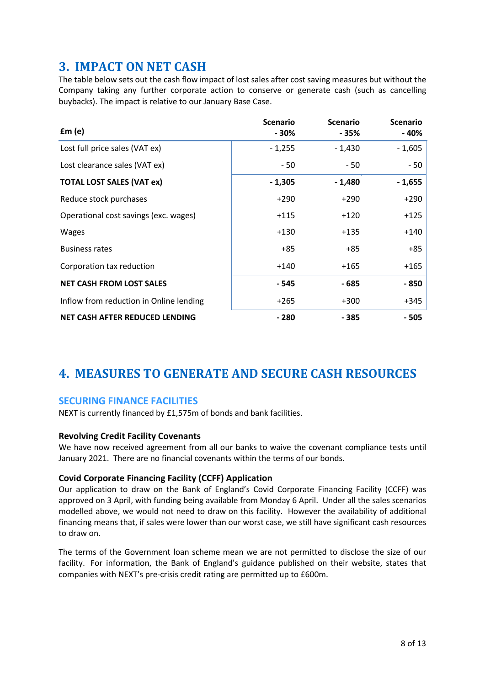# **3. IMPACT ON NET CASH**

The table below sets out the cash flow impact of lost sales after cost saving measures but without the Company taking any further corporate action to conserve or generate cash (such as cancelling buybacks). The impact is relative to our January Base Case.

| fm(e)                                   | <b>Scenario</b><br>- 30% | <b>Scenario</b><br>- 35% | <b>Scenario</b><br>- 40% |
|-----------------------------------------|--------------------------|--------------------------|--------------------------|
| Lost full price sales (VAT ex)          | $-1,255$                 | $-1,430$                 | $-1,605$                 |
| Lost clearance sales (VAT ex)           | $-50$                    | - 50                     | - 50                     |
| <b>TOTAL LOST SALES (VAT ex)</b>        | $-1,305$                 | $-1,480$                 | $-1,655$                 |
| Reduce stock purchases                  | $+290$                   | $+290$                   | $+290$                   |
| Operational cost savings (exc. wages)   | $+115$                   | $+120$                   | $+125$                   |
| Wages                                   | $+130$                   | $+135$                   | +140                     |
| <b>Business rates</b>                   | $+85$                    | $+85$                    | $+85$                    |
| Corporation tax reduction               | $+140$                   | $+165$                   | +165                     |
| <b>NET CASH FROM LOST SALES</b>         | - 545                    | - 685                    | - 850                    |
| Inflow from reduction in Online lending | $+265$                   | $+300$                   | +345                     |
| NET CASH AFTER REDUCED LENDING          | $-280$                   | - 385                    | - 505                    |

# **4. MEASURES TO GENERATE AND SECURE CASH RESOURCES**

## **SECURING FINANCE FACILITIES**

NEXT is currently financed by £1,575m of bonds and bank facilities.

### **Revolving Credit Facility Covenants**

We have now received agreement from all our banks to waive the covenant compliance tests until January 2021. There are no financial covenants within the terms of our bonds.

### **Covid Corporate Financing Facility (CCFF) Application**

Our application to draw on the Bank of England's Covid Corporate Financing Facility (CCFF) was approved on 3 April, with funding being available from Monday 6 April. Under all the sales scenarios modelled above, we would not need to draw on this facility. However the availability of additional financing means that, if sales were lower than our worst case, we still have significant cash resources to draw on.

The terms of the Government loan scheme mean we are not permitted to disclose the size of our facility. For information, the Bank of England's guidance published on their website, states that companies with NEXT's pre-crisis credit rating are permitted up to £600m.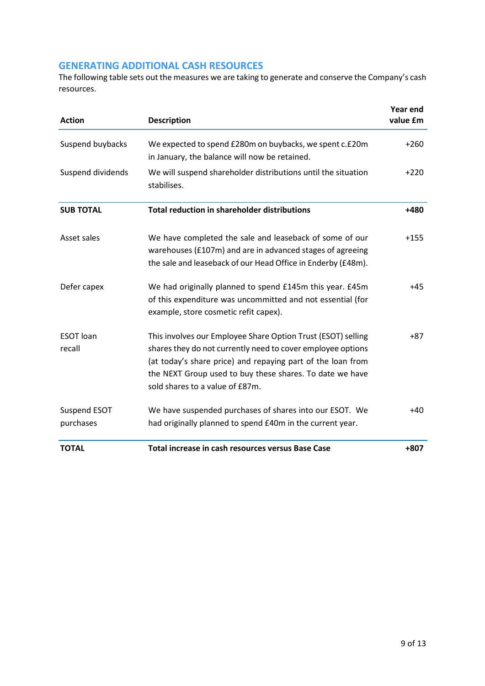## **GENERATING ADDITIONAL CASH RESOURCES**

The following table sets out the measures we are taking to generate and conserve the Company's cash resources.

| <b>Action</b>              | <b>Description</b>                                                                                                                                                                                                                                                                        | <b>Year end</b><br>value £m |
|----------------------------|-------------------------------------------------------------------------------------------------------------------------------------------------------------------------------------------------------------------------------------------------------------------------------------------|-----------------------------|
| Suspend buybacks           | We expected to spend £280m on buybacks, we spent c.£20m<br>in January, the balance will now be retained.                                                                                                                                                                                  | $+260$                      |
| Suspend dividends          | We will suspend shareholder distributions until the situation<br>stabilises.                                                                                                                                                                                                              | $+220$                      |
| <b>SUB TOTAL</b>           | <b>Total reduction in shareholder distributions</b>                                                                                                                                                                                                                                       | $+480$                      |
| Asset sales                | We have completed the sale and leaseback of some of our<br>warehouses (£107m) and are in advanced stages of agreeing<br>the sale and leaseback of our Head Office in Enderby (£48m).                                                                                                      | $+155$                      |
| Defer capex                | We had originally planned to spend £145m this year. £45m<br>of this expenditure was uncommitted and not essential (for<br>example, store cosmetic refit capex).                                                                                                                           | $+45$                       |
| <b>ESOT</b> loan<br>recall | This involves our Employee Share Option Trust (ESOT) selling<br>shares they do not currently need to cover employee options<br>(at today's share price) and repaying part of the loan from<br>the NEXT Group used to buy these shares. To date we have<br>sold shares to a value of £87m. | $+87$                       |
| Suspend ESOT<br>purchases  | We have suspended purchases of shares into our ESOT. We<br>had originally planned to spend £40m in the current year.                                                                                                                                                                      | $+40$                       |
| <b>TOTAL</b>               | Total increase in cash resources versus Base Case                                                                                                                                                                                                                                         | $+807$                      |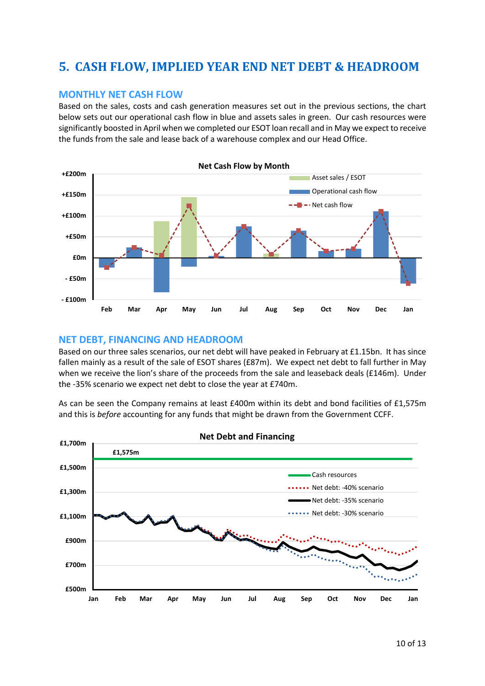# **5. CASH FLOW, IMPLIED YEAR END NET DEBT & HEADROOM**

### **MONTHLY NET CASH FLOW**

Based on the sales, costs and cash generation measures set out in the previous sections, the chart below sets out our operational cash flow in blue and assets sales in green. Our cash resources were significantly boosted in April when we completed our ESOT loan recall and in May we expect to receive the funds from the sale and lease back of a warehouse complex and our Head Office.



#### **NET DEBT, FINANCING AND HEADROOM**

Based on our three sales scenarios, our net debt will have peaked in February at £1.15bn. It has since fallen mainly as a result of the sale of ESOT shares (£87m). We expect net debt to fall further in May when we receive the lion's share of the proceeds from the sale and leaseback deals (£146m). Under the -35% scenario we expect net debt to close the year at £740m.

As can be seen the Company remains at least £400m within its debt and bond facilities of £1,575m and this is *before* accounting for any funds that might be drawn from the Government CCFF.

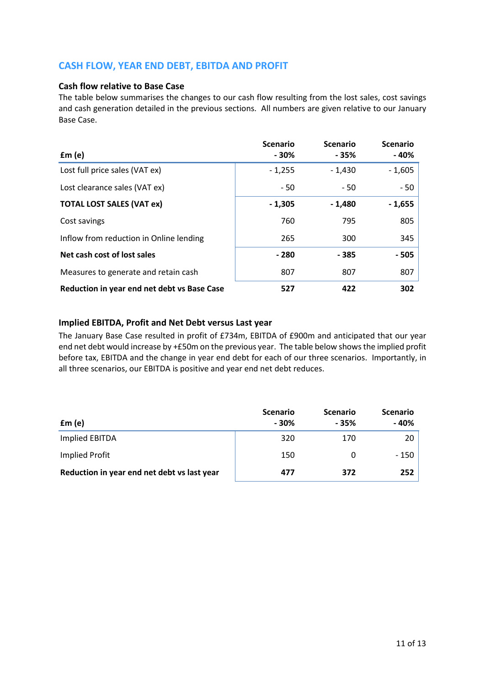## **CASH FLOW, YEAR END DEBT, EBITDA AND PROFIT**

#### **Cash flow relative to Base Case**

The table below summarises the changes to our cash flow resulting from the lost sales, cost savings and cash generation detailed in the previous sections. All numbers are given relative to our January Base Case.

| fm(e)                                       | <b>Scenario</b><br>$-30%$ | <b>Scenario</b><br>$-35%$ | <b>Scenario</b><br>- 40% |
|---------------------------------------------|---------------------------|---------------------------|--------------------------|
| Lost full price sales (VAT ex)              | $-1,255$                  | $-1,430$                  | $-1,605$                 |
| Lost clearance sales (VAT ex)               | $-50$                     | $-50$                     | $-50$                    |
| <b>TOTAL LOST SALES (VAT ex)</b>            | $-1,305$                  | $-1,480$                  | $-1,655$                 |
| Cost savings                                | 760                       | 795                       | 805                      |
| Inflow from reduction in Online lending     | 265                       | 300                       | 345                      |
| Net cash cost of lost sales                 | $-280$                    | - 385                     | $-505$                   |
| Measures to generate and retain cash        | 807                       | 807                       | 807                      |
| Reduction in year end net debt vs Base Case | 527                       | 422                       | 302                      |

### **Implied EBITDA, Profit and Net Debt versus Last year**

The January Base Case resulted in profit of £734m, EBITDA of £900m and anticipated that our year end net debt would increase by +£50m on the previous year. The table below shows the implied profit before tax, EBITDA and the change in year end debt for each of our three scenarios. Importantly, in all three scenarios, our EBITDA is positive and year end net debt reduces.

| $\mathbf{f}$ m $(e)$                        | <b>Scenario</b><br>$-30%$ | <b>Scenario</b><br>- 35% | <b>Scenario</b><br>- 40% |
|---------------------------------------------|---------------------------|--------------------------|--------------------------|
| Implied EBITDA                              | 320                       | 170                      | 20                       |
| Implied Profit                              | 150                       |                          | $-150$                   |
| Reduction in year end net debt vs last year | 477                       | 372                      | 252                      |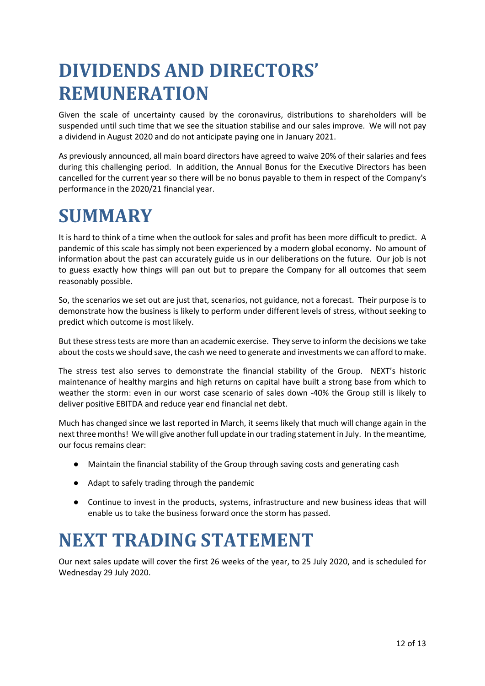# **DIVIDENDS AND DIRECTORS' REMUNERATION**

Given the scale of uncertainty caused by the coronavirus, distributions to shareholders will be suspended until such time that we see the situation stabilise and our sales improve. We will not pay a dividend in August 2020 and do not anticipate paying one in January 2021.

As previously announced, all main board directors have agreed to waive 20% of their salaries and fees during this challenging period. In addition, the Annual Bonus for the Executive Directors has been cancelled for the current year so there will be no bonus payable to them in respect of the Company's performance in the 2020/21 financial year.

# **SUMMARY**

It is hard to think of a time when the outlook for sales and profit has been more difficult to predict. A pandemic of this scale has simply not been experienced by a modern global economy. No amount of information about the past can accurately guide us in our deliberations on the future. Our job is not to guess exactly how things will pan out but to prepare the Company for all outcomes that seem reasonably possible.

So, the scenarios we set out are just that, scenarios, not guidance, not a forecast. Their purpose is to demonstrate how the business is likely to perform under different levels of stress, without seeking to predict which outcome is most likely.

But these stress tests are more than an academic exercise. They serve to inform the decisions we take about the costs we should save, the cash we need to generate and investments we can afford to make.

The stress test also serves to demonstrate the financial stability of the Group. NEXT's historic maintenance of healthy margins and high returns on capital have built a strong base from which to weather the storm: even in our worst case scenario of sales down -40% the Group still is likely to deliver positive EBITDA and reduce year end financial net debt.

Much has changed since we last reported in March, it seems likely that much will change again in the next three months! We will give another full update in our trading statement in July. In the meantime, our focus remains clear:

- Maintain the financial stability of the Group through saving costs and generating cash
- Adapt to safely trading through the pandemic
- Continue to invest in the products, systems, infrastructure and new business ideas that will enable us to take the business forward once the storm has passed.

# **NEXT TRADING STATEMENT**

Our next sales update will cover the first 26 weeks of the year, to 25 July 2020, and is scheduled for Wednesday 29 July 2020.